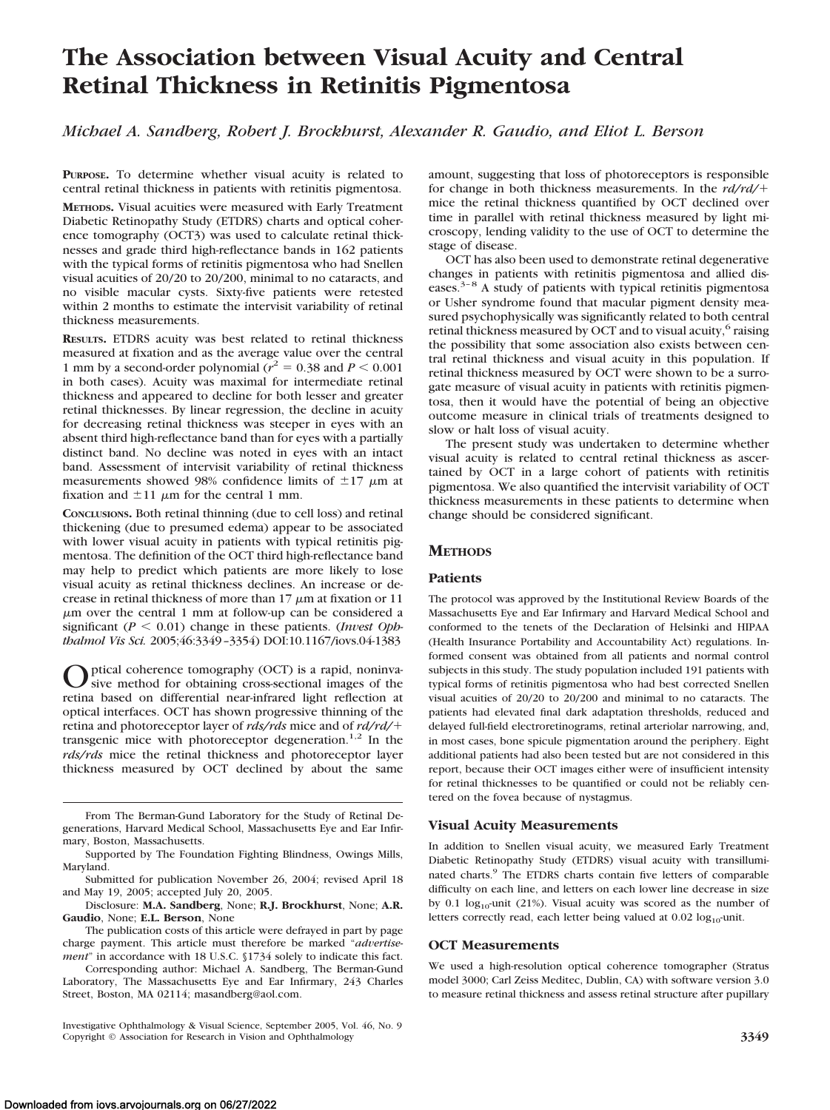# **The Association between Visual Acuity and Central Retinal Thickness in Retinitis Pigmentosa**

*Michael A. Sandberg, Robert J. Brockhurst, Alexander R. Gaudio, and Eliot L. Berson*

**PURPOSE.** To determine whether visual acuity is related to central retinal thickness in patients with retinitis pigmentosa.

**METHODS.** Visual acuities were measured with Early Treatment Diabetic Retinopathy Study (ETDRS) charts and optical coherence tomography (OCT3) was used to calculate retinal thicknesses and grade third high-reflectance bands in 162 patients with the typical forms of retinitis pigmentosa who had Snellen visual acuities of 20/20 to 20/200, minimal to no cataracts, and no visible macular cysts. Sixty-five patients were retested within 2 months to estimate the intervisit variability of retinal thickness measurements.

**RESULTS.** ETDRS acuity was best related to retinal thickness measured at fixation and as the average value over the central 1 mm by a second-order polynomial  $(r^2 = 0.38$  and  $P < 0.001$ in both cases). Acuity was maximal for intermediate retinal thickness and appeared to decline for both lesser and greater retinal thicknesses. By linear regression, the decline in acuity for decreasing retinal thickness was steeper in eyes with an absent third high-reflectance band than for eyes with a partially distinct band. No decline was noted in eyes with an intact band. Assessment of intervisit variability of retinal thickness measurements showed 98% confidence limits of  $\pm 17 \mu m$  at fixation and  $\pm 11 \mu m$  for the central 1 mm.

**CONCLUSIONS.** Both retinal thinning (due to cell loss) and retinal thickening (due to presumed edema) appear to be associated with lower visual acuity in patients with typical retinitis pigmentosa. The definition of the OCT third high-reflectance band may help to predict which patients are more likely to lose visual acuity as retinal thickness declines. An increase or decrease in retinal thickness of more than  $17 \mu m$  at fixation or  $11$  $\mu$ m over the central 1 mm at follow-up can be considered a significant  $(P < 0.01)$  change in these patients. *(Invest Ophthalmol Vis Sci.* 2005;46:3349 –3354) DOI:10.1167/iovs.04-1383

Optical coherence tomography (OCT) is a rapid, noninva-<br>sive method for obtaining cross-sectional images of the<br>six and a religional link and article in the retina based on differential near-infrared light reflection at optical interfaces. OCT has shown progressive thinning of the retina and photoreceptor layer of *rds/rds* mice and of *rd/rd/* transgenic mice with photoreceptor degeneration.<sup>1,2</sup> In the *rds/rds* mice the retinal thickness and photoreceptor layer thickness measured by OCT declined by about the same

Disclosure: **M.A. Sandberg**, None; **R.J. Brockhurst**, None; **A.R. Gaudio**, None; **E.L. Berson**, None

The publication costs of this article were defrayed in part by page charge payment. This article must therefore be marked "*advertisement*" in accordance with 18 U.S.C. §1734 solely to indicate this fact.

Corresponding author: Michael A. Sandberg, The Berman-Gund Laboratory, The Massachusetts Eye and Ear Infirmary, 243 Charles Street, Boston, MA 02114; masandberg@aol.com.

amount, suggesting that loss of photoreceptors is responsible for change in both thickness measurements. In the *rd/rd/* mice the retinal thickness quantified by OCT declined over time in parallel with retinal thickness measured by light microscopy, lending validity to the use of OCT to determine the stage of disease.

OCT has also been used to demonstrate retinal degenerative changes in patients with retinitis pigmentosa and allied diseases. $3-8$  A study of patients with typical retinitis pigmentosa or Usher syndrome found that macular pigment density measured psychophysically was significantly related to both central retinal thickness measured by OCT and to visual acuity, $6$  raising the possibility that some association also exists between central retinal thickness and visual acuity in this population. If retinal thickness measured by OCT were shown to be a surrogate measure of visual acuity in patients with retinitis pigmentosa, then it would have the potential of being an objective outcome measure in clinical trials of treatments designed to slow or halt loss of visual acuity.

The present study was undertaken to determine whether visual acuity is related to central retinal thickness as ascertained by OCT in a large cohort of patients with retinitis pigmentosa. We also quantified the intervisit variability of OCT thickness measurements in these patients to determine when change should be considered significant.

# **METHODS**

# **Patients**

The protocol was approved by the Institutional Review Boards of the Massachusetts Eye and Ear Infirmary and Harvard Medical School and conformed to the tenets of the Declaration of Helsinki and HIPAA (Health Insurance Portability and Accountability Act) regulations. Informed consent was obtained from all patients and normal control subjects in this study. The study population included 191 patients with typical forms of retinitis pigmentosa who had best corrected Snellen visual acuities of 20/20 to 20/200 and minimal to no cataracts. The patients had elevated final dark adaptation thresholds, reduced and delayed full-field electroretinograms, retinal arteriolar narrowing, and, in most cases, bone spicule pigmentation around the periphery. Eight additional patients had also been tested but are not considered in this report, because their OCT images either were of insufficient intensity for retinal thicknesses to be quantified or could not be reliably centered on the fovea because of nystagmus.

# **Visual Acuity Measurements**

In addition to Snellen visual acuity, we measured Early Treatment Diabetic Retinopathy Study (ETDRS) visual acuity with transilluminated charts.<sup>9</sup> The ETDRS charts contain five letters of comparable difficulty on each line, and letters on each lower line decrease in size by 0.1 log<sub>10</sub>-unit (21%). Visual acuity was scored as the number of letters correctly read, each letter being valued at  $0.02 \log_{10}$ -unit.

# **OCT Measurements**

We used a high-resolution optical coherence tomographer (Stratus model 3000; Carl Zeiss Meditec, Dublin, CA) with software version 3.0 to measure retinal thickness and assess retinal structure after pupillary

From The Berman-Gund Laboratory for the Study of Retinal Degenerations, Harvard Medical School, Massachusetts Eye and Ear Infirmary, Boston, Massachusetts.

Supported by The Foundation Fighting Blindness, Owings Mills, Maryland.

Submitted for publication November 26, 2004; revised April 18 and May 19, 2005; accepted July 20, 2005.

Investigative Ophthalmology & Visual Science, September 2005, Vol. 46, No. 9 Copyright © Association for Research in Vision and Ophthalmology **3349**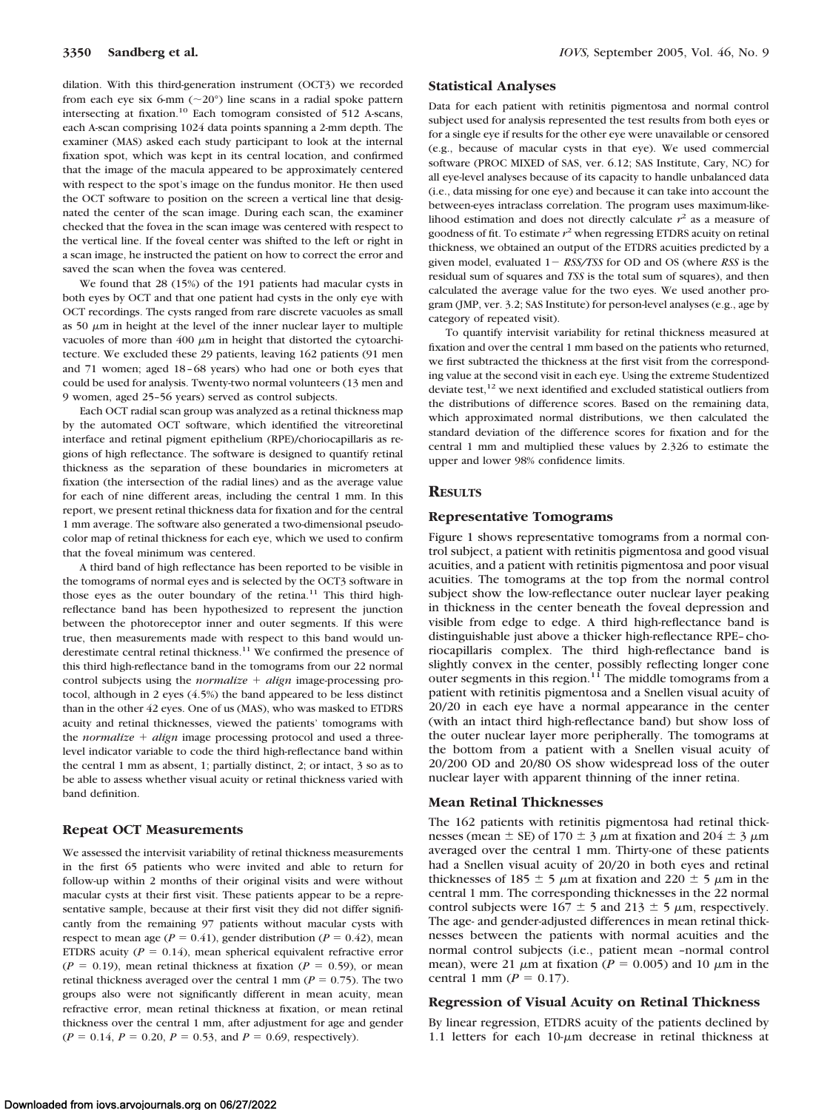dilation. With this third-generation instrument (OCT3) we recorded from each eye six 6-mm ( $\sim$ 20°) line scans in a radial spoke pattern intersecting at fixation.10 Each tomogram consisted of 512 A-scans, each A-scan comprising 1024 data points spanning a 2-mm depth. The examiner (MAS) asked each study participant to look at the internal fixation spot, which was kept in its central location, and confirmed that the image of the macula appeared to be approximately centered with respect to the spot's image on the fundus monitor. He then used the OCT software to position on the screen a vertical line that designated the center of the scan image. During each scan, the examiner checked that the fovea in the scan image was centered with respect to the vertical line. If the foveal center was shifted to the left or right in a scan image, he instructed the patient on how to correct the error and saved the scan when the fovea was centered.

We found that 28 (15%) of the 191 patients had macular cysts in both eyes by OCT and that one patient had cysts in the only eye with OCT recordings. The cysts ranged from rare discrete vacuoles as small as 50  $\mu$ m in height at the level of the inner nuclear layer to multiple vacuoles of more than  $400 \mu m$  in height that distorted the cytoarchitecture. We excluded these 29 patients, leaving 162 patients (91 men and 71 women; aged 18 – 68 years) who had one or both eyes that could be used for analysis. Twenty-two normal volunteers (13 men and 9 women, aged 25–56 years) served as control subjects.

Each OCT radial scan group was analyzed as a retinal thickness map by the automated OCT software, which identified the vitreoretinal interface and retinal pigment epithelium (RPE)/choriocapillaris as regions of high reflectance. The software is designed to quantify retinal thickness as the separation of these boundaries in micrometers at fixation (the intersection of the radial lines) and as the average value for each of nine different areas, including the central 1 mm. In this report, we present retinal thickness data for fixation and for the central 1 mm average. The software also generated a two-dimensional pseudocolor map of retinal thickness for each eye, which we used to confirm that the foveal minimum was centered.

A third band of high reflectance has been reported to be visible in the tomograms of normal eyes and is selected by the OCT3 software in those eyes as the outer boundary of the retina. $11$  This third highreflectance band has been hypothesized to represent the junction between the photoreceptor inner and outer segments. If this were true, then measurements made with respect to this band would underestimate central retinal thickness.<sup>11</sup> We confirmed the presence of this third high-reflectance band in the tomograms from our 22 normal control subjects using the *normalize*  $+$  *align* image-processing protocol, although in 2 eyes (4.5%) the band appeared to be less distinct than in the other 42 eyes. One of us (MAS), who was masked to ETDRS acuity and retinal thicknesses, viewed the patients' tomograms with the *normalize* + align image processing protocol and used a threelevel indicator variable to code the third high-reflectance band within the central 1 mm as absent, 1; partially distinct, 2; or intact, 3 so as to be able to assess whether visual acuity or retinal thickness varied with band definition.

#### **Repeat OCT Measurements**

We assessed the intervisit variability of retinal thickness measurements in the first 65 patients who were invited and able to return for follow-up within 2 months of their original visits and were without macular cysts at their first visit. These patients appear to be a representative sample, because at their first visit they did not differ significantly from the remaining 97 patients without macular cysts with respect to mean age ( $P = 0.41$ ), gender distribution ( $P = 0.42$ ), mean ETDRS acuity ( $P = 0.14$ ), mean spherical equivalent refractive error  $(P = 0.19)$ , mean retinal thickness at fixation  $(P = 0.59)$ , or mean retinal thickness averaged over the central 1 mm ( $P = 0.75$ ). The two groups also were not significantly different in mean acuity, mean refractive error, mean retinal thickness at fixation, or mean retinal thickness over the central 1 mm, after adjustment for age and gender  $(P = 0.14, P = 0.20, P = 0.53, \text{ and } P = 0.69, \text{ respectively.}$ 

#### **Statistical Analyses**

Data for each patient with retinitis pigmentosa and normal control subject used for analysis represented the test results from both eyes or for a single eye if results for the other eye were unavailable or censored (e.g., because of macular cysts in that eye). We used commercial software (PROC MIXED of SAS, ver. 6.12; SAS Institute, Cary, NC) for all eye-level analyses because of its capacity to handle unbalanced data (i.e., data missing for one eye) and because it can take into account the between-eyes intraclass correlation. The program uses maximum-likelihood estimation and does not directly calculate  $r^2$  as a measure of goodness of fit. To estimate  $r^2$  when regressing ETDRS acuity on retinal thickness, we obtained an output of the ETDRS acuities predicted by a given model, evaluated  $1 -$  *RSS/TSS* for OD and OS (where *RSS* is the residual sum of squares and *TSS* is the total sum of squares), and then calculated the average value for the two eyes. We used another program (JMP, ver. 3.2; SAS Institute) for person-level analyses (e.g., age by category of repeated visit).

To quantify intervisit variability for retinal thickness measured at fixation and over the central 1 mm based on the patients who returned, we first subtracted the thickness at the first visit from the corresponding value at the second visit in each eye. Using the extreme Studentized deviate test,<sup>12</sup> we next identified and excluded statistical outliers from the distributions of difference scores. Based on the remaining data, which approximated normal distributions, we then calculated the standard deviation of the difference scores for fixation and for the central 1 mm and multiplied these values by 2.326 to estimate the upper and lower 98% confidence limits.

#### **RESULTS**

#### **Representative Tomograms**

Figure 1 shows representative tomograms from a normal control subject, a patient with retinitis pigmentosa and good visual acuities, and a patient with retinitis pigmentosa and poor visual acuities. The tomograms at the top from the normal control subject show the low-reflectance outer nuclear layer peaking in thickness in the center beneath the foveal depression and visible from edge to edge. A third high-reflectance band is distinguishable just above a thicker high-reflectance RPE–choriocapillaris complex. The third high-reflectance band is slightly convex in the center, possibly reflecting longer cone outer segments in this region.<sup>11</sup> The middle tomograms from a patient with retinitis pigmentosa and a Snellen visual acuity of 20/20 in each eye have a normal appearance in the center (with an intact third high-reflectance band) but show loss of the outer nuclear layer more peripherally. The tomograms at the bottom from a patient with a Snellen visual acuity of 20/200 OD and 20/80 OS show widespread loss of the outer nuclear layer with apparent thinning of the inner retina.

#### **Mean Retinal Thicknesses**

The 162 patients with retinitis pigmentosa had retinal thicknesses (mean  $\pm$  SE) of 170  $\pm$  3  $\mu$ m at fixation and 204  $\pm$  3  $\mu$ m averaged over the central 1 mm. Thirty-one of these patients had a Snellen visual acuity of 20/20 in both eyes and retinal thicknesses of 185  $\pm$  5  $\mu$ m at fixation and 220  $\pm$  5  $\mu$ m in the central 1 mm. The corresponding thicknesses in the 22 normal control subjects were  $167 \pm 5$  and  $213 \pm 5$   $\mu$ m, respectively. The age- and gender-adjusted differences in mean retinal thicknesses between the patients with normal acuities and the normal control subjects (i.e., patient mean –normal control mean), were 21  $\mu$ m at fixation ( $P = 0.005$ ) and 10  $\mu$ m in the central 1 mm ( $P = 0.17$ ).

#### **Regression of Visual Acuity on Retinal Thickness**

By linear regression, ETDRS acuity of the patients declined by 1.1 letters for each  $10$ - $\mu$ m decrease in retinal thickness at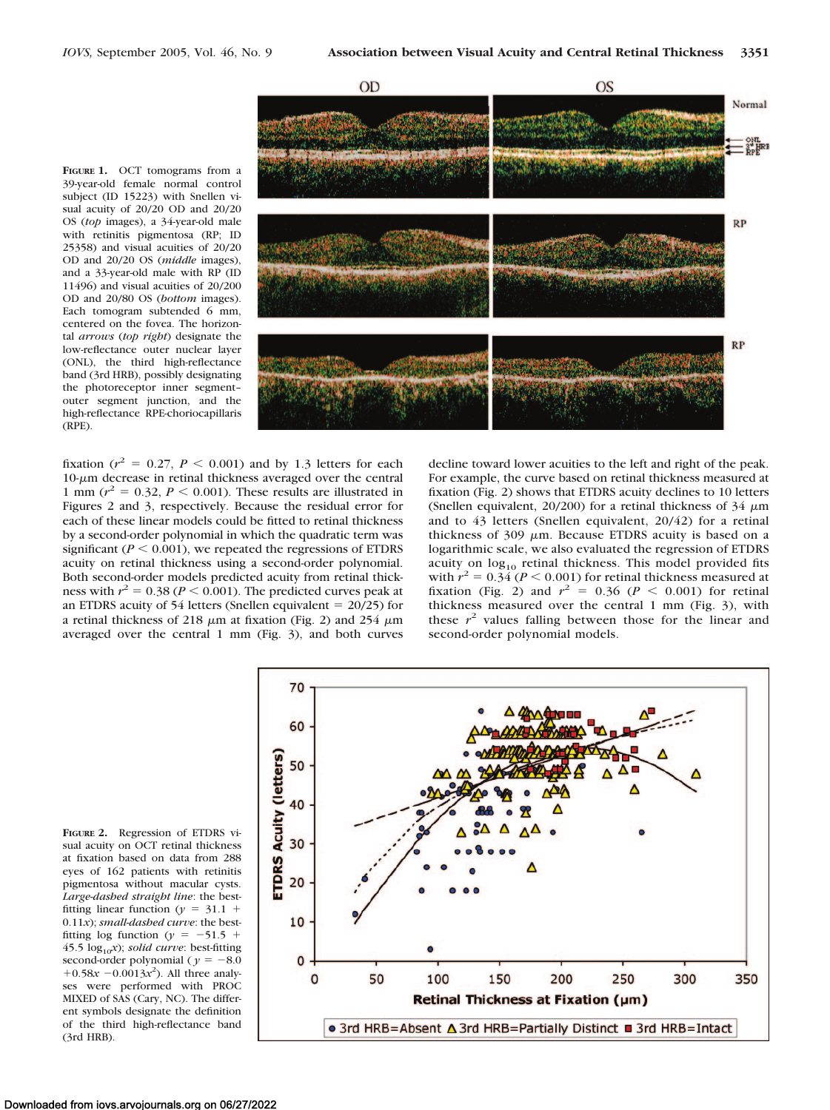**FIGURE 1.** OCT tomograms from a 39-year-old female normal control subject (ID 15223) with Snellen visual acuity of 20/20 OD and 20/20 OS (*top* images), a 34-year-old male with retinitis pigmentosa (RP; ID 25358) and visual acuities of 20/20 OD and 20/20 OS (*middle* images), and a 33-year-old male with RP (ID 11496) and visual acuities of 20/200 OD and 20/80 OS (*bottom* images). Each tomogram subtended 6 mm, centered on the fovea. The horizontal *arrows* (*top right*) designate the low-reflectance outer nuclear layer (ONL), the third high-reflectance band (3rd HRB), possibly designating the photoreceptor inner segment– outer segment junction, and the high-reflectance RPE-choriocapillaris (RPE).



fixation ( $r^2 = 0.27$ ,  $P \le 0.001$ ) and by 1.3 letters for each  $10$ - $\mu$ m decrease in retinal thickness averaged over the central 1 mm  $(r^2 = 0.32, P \le 0.001)$ . These results are illustrated in Figures 2 and 3, respectively. Because the residual error for each of these linear models could be fitted to retinal thickness by a second-order polynomial in which the quadratic term was significant  $(P < 0.001)$ , we repeated the regressions of ETDRS acuity on retinal thickness using a second-order polynomial. Both second-order models predicted acuity from retinal thickness with  $r^2 = 0.38$  ( $P < 0.001$ ). The predicted curves peak at an ETDRS acuity of 54 letters (Snellen equivalent  $= 20/25$ ) for a retinal thickness of 218  $\mu$ m at fixation (Fig. 2) and 254  $\mu$ m averaged over the central 1 mm (Fig. 3), and both curves decline toward lower acuities to the left and right of the peak. For example, the curve based on retinal thickness measured at fixation (Fig. 2) shows that ETDRS acuity declines to 10 letters (Snellen equivalent, 20/200) for a retinal thickness of  $34 \mu m$ and to 43 letters (Snellen equivalent, 20/42) for a retinal thickness of 309  $\mu$ m. Because ETDRS acuity is based on a logarithmic scale, we also evaluated the regression of ETDRS acuity on  $log_{10}$  retinal thickness. This model provided fits with  $r^2 = 0.34$  ( $P < 0.001$ ) for retinal thickness measured at fixation (Fig. 2) and  $r^2 = 0.36$  ( $P < 0.001$ ) for retinal thickness measured over the central 1 mm (Fig. 3), with these  $r^2$  values falling between those for the linear and second-order polynomial models.

**FIGURE 2.** Regression of ETDRS visual acuity on OCT retinal thickness at fixation based on data from 288 eyes of 162 patients with retinitis pigmentosa without macular cysts. *Large-dashed straight line*: the bestfitting linear function  $(y = 31.1 +$ 0.11*x*); *small-dashed curve*: the bestfitting log function ( $y = -51.5$  + 45.5  $log_{10}x$ ; *solid curve*: best-fitting second-order polynomial ( $y = -8.0$  $+0.58x -0.0013x^2$ ). All three analyses were performed with PROC MIXED of SAS (Cary, NC). The different symbols designate the definition of the third high-reflectance band (3rd HRB).

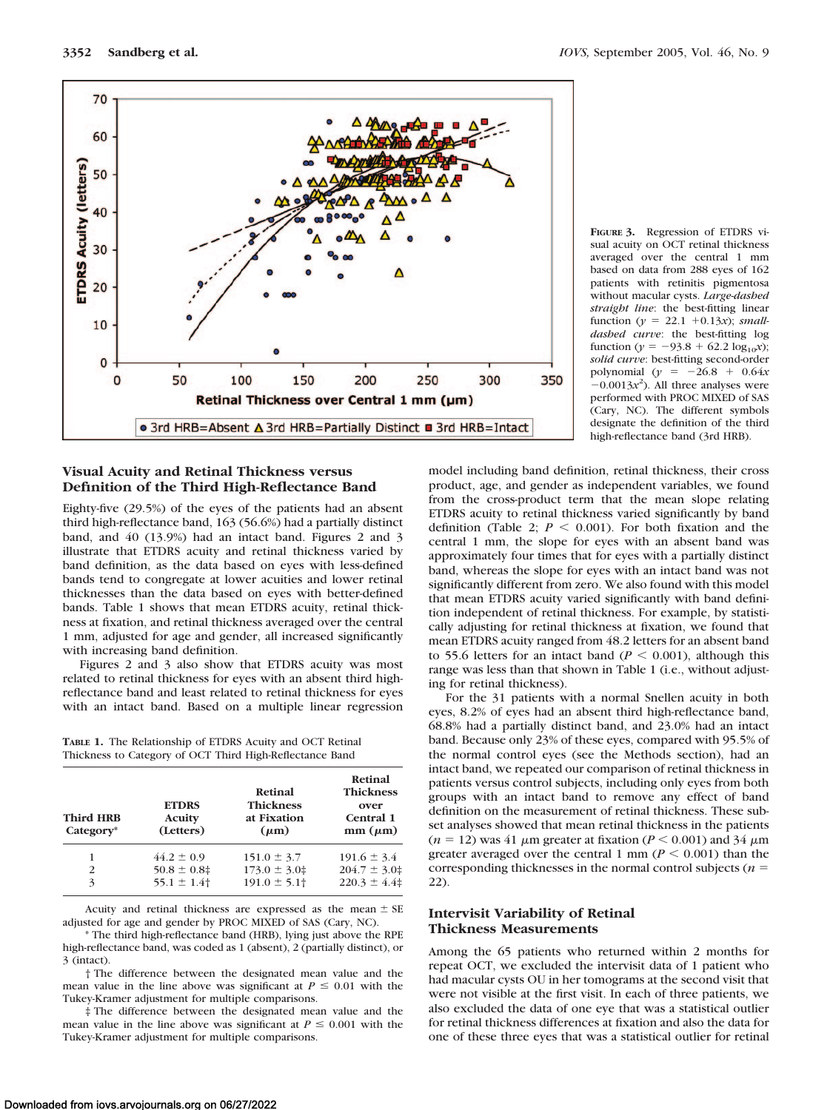

**FIGURE 3.** Regression of ETDRS visual acuity on OCT retinal thickness averaged over the central 1 mm based on data from 288 eyes of 162 patients with retinitis pigmentosa without macular cysts. *Large-dashed straight line*: the best-fitting linear function  $(y = 22.1 + 0.13x)$ ; *smalldashed curve*: the best-fitting log function ( $y = -93.8 + 62.2 \log_{10} x$ ); *solid curve*: best-fitting second-order polynomial ( $y = -26.8 + 0.64x$  $-0.0013x^2$ ). All three analyses were performed with PROC MIXED of SAS (Cary, NC). The different symbols designate the definition of the third high-reflectance band (3rd HRB).

# **Visual Acuity and Retinal Thickness versus Definition of the Third High-Reflectance Band**

Eighty-five (29.5%) of the eyes of the patients had an absent third high-reflectance band, 163 (56.6%) had a partially distinct band, and 40 (13.9%) had an intact band. Figures 2 and 3 illustrate that ETDRS acuity and retinal thickness varied by band definition, as the data based on eyes with less-defined bands tend to congregate at lower acuities and lower retinal thicknesses than the data based on eyes with better-defined bands. Table 1 shows that mean ETDRS acuity, retinal thickness at fixation, and retinal thickness averaged over the central 1 mm, adjusted for age and gender, all increased significantly with increasing band definition.

Figures 2 and 3 also show that ETDRS acuity was most related to retinal thickness for eyes with an absent third highreflectance band and least related to retinal thickness for eyes with an intact band. Based on a multiple linear regression

**TABLE 1.** The Relationship of ETDRS Acuity and OCT Retinal Thickness to Category of OCT Third High-Reflectance Band

| <b>Third HRB</b><br>Category* | <b>ETDRS</b><br>Acuity<br>(Letters) | Retinal<br><b>Thickness</b><br>at Fixation<br>$(\mu m)$ | Retinal<br><b>Thickness</b><br>over<br>Central 1<br>$mm (~\mu m)$ |  |
|-------------------------------|-------------------------------------|---------------------------------------------------------|-------------------------------------------------------------------|--|
| 1                             | $44.2 \pm 0.9$                      | $151.0 \pm 3.7$                                         | $191.6 \pm 3.4$                                                   |  |
| $\overline{c}$                | $50.8 \pm 0.8$                      | $173.0 \pm 3.0$                                         | $204.7 \pm 3.0$                                                   |  |
| 3                             | $55.1 \pm 1.4$                      | $191.0 \pm 5.1$                                         | $220.3 \pm 4.4\pm$                                                |  |
|                               |                                     |                                                         |                                                                   |  |

Acuity and retinal thickness are expressed as the mean  $\pm$  SE adjusted for age and gender by PROC MIXED of SAS (Cary, NC).

\* The third high-reflectance band (HRB), lying just above the RPE high-reflectance band, was coded as 1 (absent), 2 (partially distinct), or 3 (intact).

† The difference between the designated mean value and the mean value in the line above was significant at  $P \leq 0.01$  with the Tukey-Kramer adjustment for multiple comparisons.

‡ The difference between the designated mean value and the mean value in the line above was significant at  $P \le 0.001$  with the Tukey-Kramer adjustment for multiple comparisons.

model including band definition, retinal thickness, their cross product, age, and gender as independent variables, we found from the cross-product term that the mean slope relating ETDRS acuity to retinal thickness varied significantly by band definition (Table 2;  $P < 0.001$ ). For both fixation and the central 1 mm, the slope for eyes with an absent band was approximately four times that for eyes with a partially distinct band, whereas the slope for eyes with an intact band was not significantly different from zero. We also found with this model that mean ETDRS acuity varied significantly with band definition independent of retinal thickness. For example, by statistically adjusting for retinal thickness at fixation, we found that mean ETDRS acuity ranged from 48.2 letters for an absent band to 55.6 letters for an intact band ( $P \le 0.001$ ), although this range was less than that shown in Table 1 (i.e., without adjusting for retinal thickness).

For the 31 patients with a normal Snellen acuity in both eyes, 8.2% of eyes had an absent third high-reflectance band, 68.8% had a partially distinct band, and 23.0% had an intact band. Because only 23% of these eyes, compared with 95.5% of the normal control eyes (see the Methods section), had an intact band, we repeated our comparison of retinal thickness in patients versus control subjects, including only eyes from both groups with an intact band to remove any effect of band definition on the measurement of retinal thickness. These subset analyses showed that mean retinal thickness in the patients  $(n = 12)$  was 41  $\mu$ m greater at fixation ( $P \le 0.001$ ) and 34  $\mu$ m greater averaged over the central 1 mm ( $P < 0.001$ ) than the corresponding thicknesses in the normal control subjects (*n* 22).

# **Intervisit Variability of Retinal Thickness Measurements**

Among the 65 patients who returned within 2 months for repeat OCT, we excluded the intervisit data of 1 patient who had macular cysts OU in her tomograms at the second visit that were not visible at the first visit. In each of three patients, we also excluded the data of one eye that was a statistical outlier for retinal thickness differences at fixation and also the data for one of these three eyes that was a statistical outlier for retinal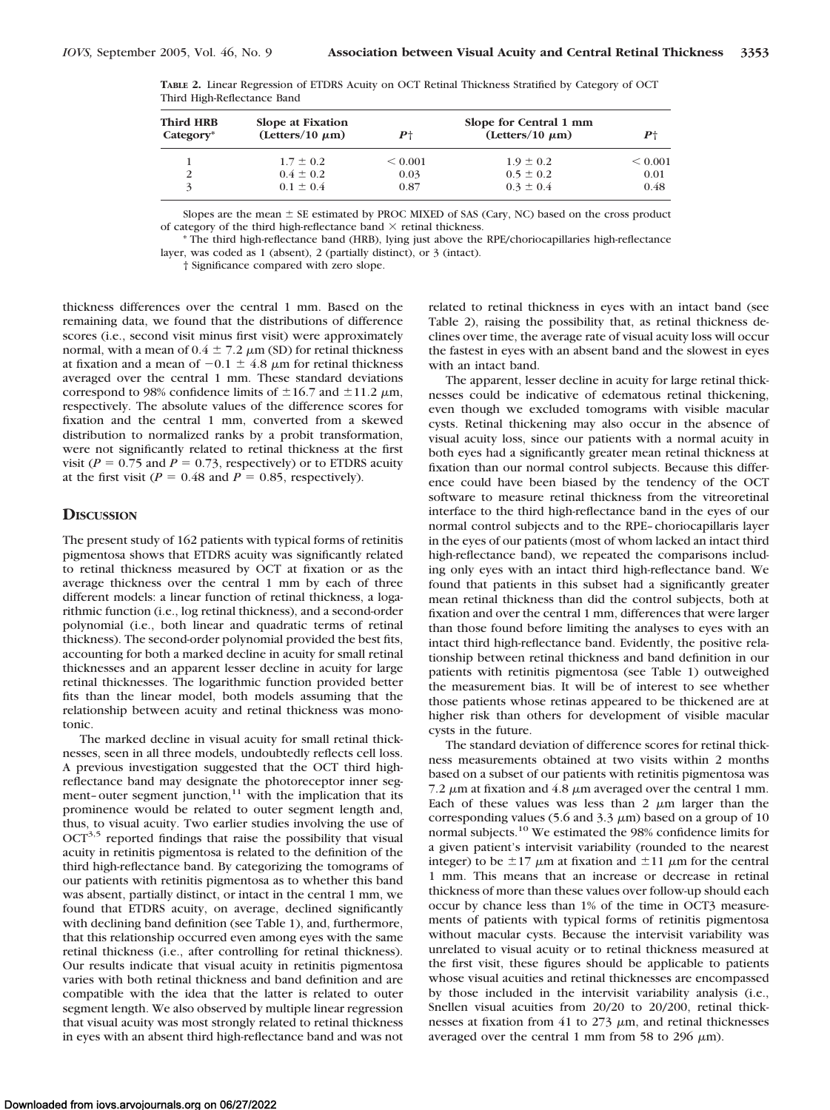| Third High-Reflectance Band |                          | <b>TABLE 2.</b> Linear Regression of ETDRS Acuity on OCT Retinal Thickness Stratified by Category of OCT |
|-----------------------------|--------------------------|----------------------------------------------------------------------------------------------------------|
| <b>Third HRB</b>            | <b>Slope at Fixation</b> | Slope for Central 1 mm                                                                                   |

| Third HRB<br>Category* | <b>Slope at Fixation</b><br>(Letters/10 $\mu$ m) | $P^+$        | Slope for Central 1 mm<br>(Letters/10 $\mu$ m) | $\boldsymbol{P^+}$ |
|------------------------|--------------------------------------------------|--------------|------------------------------------------------|--------------------|
|                        | $1.7 \pm 0.2$                                    | ${}_{0.001}$ | $1.9 \pm 0.2$                                  | ${}_{0.001}$       |
|                        | $0.4 \pm 0.2$                                    | 0.03         | $0.5 \pm 0.2$                                  | 0.01               |
|                        | $0.1 \pm 0.4$                                    | 0.87         | $0.3 \pm 0.4$                                  | 0.48               |

Slopes are the mean  $\pm$  SE estimated by PROC MIXED of SAS (Cary, NC) based on the cross product of category of the third high-reflectance band  $\times$  retinal thickness.

\* The third high-reflectance band (HRB), lying just above the RPE/choriocapillaries high-reflectance layer, was coded as 1 (absent), 2 (partially distinct), or 3 (intact).

† Significance compared with zero slope.

thickness differences over the central 1 mm. Based on the remaining data, we found that the distributions of difference scores (i.e., second visit minus first visit) were approximately normal, with a mean of  $0.4 \pm 7.2 \mu m$  (SD) for retinal thickness at fixation and a mean of  $-0.1 \pm 4.8 \mu m$  for retinal thickness averaged over the central 1 mm. These standard deviations correspond to 98% confidence limits of  $\pm 16.7$  and  $\pm 11.2$   $\mu$ m, respectively. The absolute values of the difference scores for fixation and the central 1 mm, converted from a skewed distribution to normalized ranks by a probit transformation, were not significantly related to retinal thickness at the first visit ( $P = 0.75$  and  $P = 0.73$ , respectively) or to ETDRS acuity at the first visit ( $P = 0.48$  and  $P = 0.85$ , respectively).

## **DISCUSSION**

The present study of 162 patients with typical forms of retinitis pigmentosa shows that ETDRS acuity was significantly related to retinal thickness measured by OCT at fixation or as the average thickness over the central 1 mm by each of three different models: a linear function of retinal thickness, a logarithmic function (i.e., log retinal thickness), and a second-order polynomial (i.e., both linear and quadratic terms of retinal thickness). The second-order polynomial provided the best fits, accounting for both a marked decline in acuity for small retinal thicknesses and an apparent lesser decline in acuity for large retinal thicknesses. The logarithmic function provided better fits than the linear model, both models assuming that the relationship between acuity and retinal thickness was monotonic.

The marked decline in visual acuity for small retinal thicknesses, seen in all three models, undoubtedly reflects cell loss. A previous investigation suggested that the OCT third highreflectance band may designate the photoreceptor inner segment-outer segment junction, $11$  with the implication that its prominence would be related to outer segment length and, thus, to visual acuity. Two earlier studies involving the use of  $OCT^{3,5}$  reported findings that raise the possibility that visual acuity in retinitis pigmentosa is related to the definition of the third high-reflectance band. By categorizing the tomograms of our patients with retinitis pigmentosa as to whether this band was absent, partially distinct, or intact in the central 1 mm, we found that ETDRS acuity, on average, declined significantly with declining band definition (see Table 1), and, furthermore, that this relationship occurred even among eyes with the same retinal thickness (i.e., after controlling for retinal thickness). Our results indicate that visual acuity in retinitis pigmentosa varies with both retinal thickness and band definition and are compatible with the idea that the latter is related to outer segment length. We also observed by multiple linear regression that visual acuity was most strongly related to retinal thickness in eyes with an absent third high-reflectance band and was not

related to retinal thickness in eyes with an intact band (see Table 2), raising the possibility that, as retinal thickness declines over time, the average rate of visual acuity loss will occur the fastest in eyes with an absent band and the slowest in eyes with an intact band.

The apparent, lesser decline in acuity for large retinal thicknesses could be indicative of edematous retinal thickening, even though we excluded tomograms with visible macular cysts. Retinal thickening may also occur in the absence of visual acuity loss, since our patients with a normal acuity in both eyes had a significantly greater mean retinal thickness at fixation than our normal control subjects. Because this difference could have been biased by the tendency of the OCT software to measure retinal thickness from the vitreoretinal interface to the third high-reflectance band in the eyes of our normal control subjects and to the RPE–choriocapillaris layer in the eyes of our patients (most of whom lacked an intact third high-reflectance band), we repeated the comparisons including only eyes with an intact third high-reflectance band. We found that patients in this subset had a significantly greater mean retinal thickness than did the control subjects, both at fixation and over the central 1 mm, differences that were larger than those found before limiting the analyses to eyes with an intact third high-reflectance band. Evidently, the positive relationship between retinal thickness and band definition in our patients with retinitis pigmentosa (see Table 1) outweighed the measurement bias. It will be of interest to see whether those patients whose retinas appeared to be thickened are at higher risk than others for development of visible macular cysts in the future.

The standard deviation of difference scores for retinal thickness measurements obtained at two visits within 2 months based on a subset of our patients with retinitis pigmentosa was 7.2  $\mu$ m at fixation and 4.8  $\mu$ m averaged over the central 1 mm. Each of these values was less than  $2 \mu m$  larger than the corresponding values (5.6 and 3.3  $\mu$ m) based on a group of 10 normal subjects.<sup>10</sup> We estimated the 98% confidence limits for a given patient's intervisit variability (rounded to the nearest integer) to be  $\pm 17 \mu m$  at fixation and  $\pm 11 \mu m$  for the central 1 mm. This means that an increase or decrease in retinal thickness of more than these values over follow-up should each occur by chance less than 1% of the time in OCT3 measurements of patients with typical forms of retinitis pigmentosa without macular cysts. Because the intervisit variability was unrelated to visual acuity or to retinal thickness measured at the first visit, these figures should be applicable to patients whose visual acuities and retinal thicknesses are encompassed by those included in the intervisit variability analysis (i.e., Snellen visual acuities from 20/20 to 20/200, retinal thicknesses at fixation from 41 to 273  $\mu$ m, and retinal thicknesses averaged over the central 1 mm from 58 to 296  $\mu$ m).